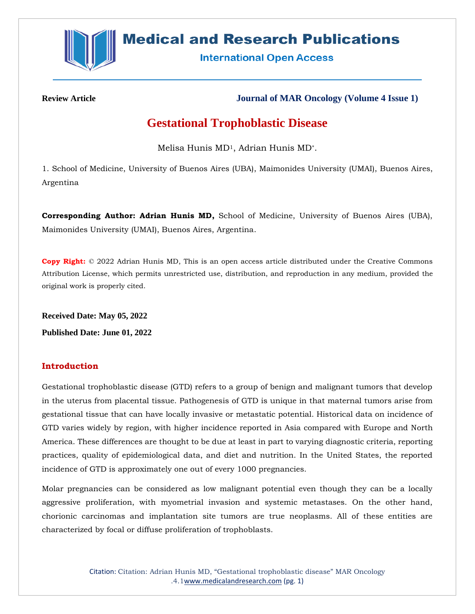

# **Medical and Research Publications**

**International Open Access** 

**Review Article Journal of MAR Oncology (Volume 4 Issue 1)**

# **Gestational Trophoblastic Disease**

Melisa Hunis MD1, Adrian Hunis MD\*.

1. School of Medicine, University of Buenos Aires (UBA), Maimonides University (UMAI), Buenos Aires, Argentina

**Corresponding Author: Adrian Hunis MD,** School of Medicine, University of Buenos Aires (UBA), Maimonides University (UMAI), Buenos Aires, Argentina.

**Copy Right:** © 2022 Adrian Hunis MD, This is an open access article distributed under the Creative Commons Attribution License, which permits unrestricted use, distribution, and reproduction in any medium, provided the original work is properly cited.

**Received Date: May 05, 2022 Published Date: June 01, 2022**

# **Introduction**

Gestational trophoblastic disease (GTD) refers to a group of benign and malignant tumors that develop in the uterus from placental tissue. Pathogenesis of GTD is unique in that maternal tumors arise from gestational tissue that can have locally invasive or metastatic potential. Historical data on incidence of GTD varies widely by region, with higher incidence reported in Asia compared with Europe and North America. These differences are thought to be due at least in part to varying diagnostic criteria, reporting practices, quality of epidemiological data, and diet and nutrition. In the United States, the reported incidence of GTD is approximately one out of every 1000 pregnancies.

Molar pregnancies can be considered as low malignant potential even though they can be a locally aggressive proliferation, with myometrial invasion and systemic metastases. On the other hand, chorionic carcinomas and implantation site tumors are true neoplasms. All of these entities are characterized by focal or diffuse proliferation of trophoblasts.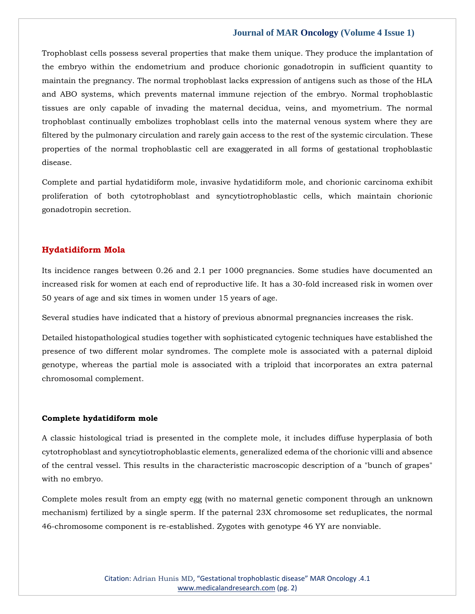Trophoblast cells possess several properties that make them unique. They produce the implantation of the embryo within the endometrium and produce chorionic gonadotropin in sufficient quantity to maintain the pregnancy. The normal trophoblast lacks expression of antigens such as those of the HLA and ABO systems, which prevents maternal immune rejection of the embryo. Normal trophoblastic tissues are only capable of invading the maternal decidua, veins, and myometrium. The normal trophoblast continually embolizes trophoblast cells into the maternal venous system where they are filtered by the pulmonary circulation and rarely gain access to the rest of the systemic circulation. These properties of the normal trophoblastic cell are exaggerated in all forms of gestational trophoblastic disease.

Complete and partial hydatidiform mole, invasive hydatidiform mole, and chorionic carcinoma exhibit proliferation of both cytotrophoblast and syncytiotrophoblastic cells, which maintain chorionic gonadotropin secretion.

# **Hydatidiform Mola**

Its incidence ranges between 0.26 and 2.1 per 1000 pregnancies. Some studies have documented an increased risk for women at each end of reproductive life. It has a 30-fold increased risk in women over 50 years of age and six times in women under 15 years of age.

Several studies have indicated that a history of previous abnormal pregnancies increases the risk.

Detailed histopathological studies together with sophisticated cytogenic techniques have established the presence of two different molar syndromes. The complete mole is associated with a paternal diploid genotype, whereas the partial mole is associated with a triploid that incorporates an extra paternal chromosomal complement.

## **Complete hydatidiform mole**

A classic histological triad is presented in the complete mole, it includes diffuse hyperplasia of both cytotrophoblast and syncytiotrophoblastic elements, generalized edema of the chorionic villi and absence of the central vessel. This results in the characteristic macroscopic description of a "bunch of grapes" with no embryo.

Complete moles result from an empty egg (with no maternal genetic component through an unknown mechanism) fertilized by a single sperm. If the paternal 23X chromosome set reduplicates, the normal 46-chromosome component is re-established. Zygotes with genotype 46 YY are nonviable.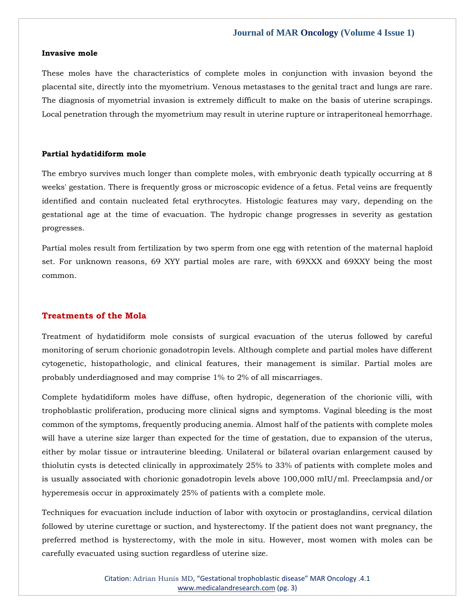#### **Invasive mole**

These moles have the characteristics of complete moles in conjunction with invasion beyond the placental site, directly into the myometrium. Venous metastases to the genital tract and lungs are rare. The diagnosis of myometrial invasion is extremely difficult to make on the basis of uterine scrapings. Local penetration through the myometrium may result in uterine rupture or intraperitoneal hemorrhage.

## **Partial hydatidiform mole**

The embryo survives much longer than complete moles, with embryonic death typically occurring at 8 weeks' gestation. There is frequently gross or microscopic evidence of a fetus. Fetal veins are frequently identified and contain nucleated fetal erythrocytes. Histologic features may vary, depending on the gestational age at the time of evacuation. The hydropic change progresses in severity as gestation progresses.

Partial moles result from fertilization by two sperm from one egg with retention of the maternal haploid set. For unknown reasons, 69 XYY partial moles are rare, with 69XXX and 69XXY being the most common.

# **Treatments of the Mola**

Treatment of hydatidiform mole consists of surgical evacuation of the uterus followed by careful monitoring of serum chorionic gonadotropin levels. Although complete and partial moles have different cytogenetic, histopathologic, and clinical features, their management is similar. Partial moles are probably underdiagnosed and may comprise 1% to 2% of all miscarriages.

Complete hydatidiform moles have diffuse, often hydropic, degeneration of the chorionic villi, with trophoblastic proliferation, producing more clinical signs and symptoms. Vaginal bleeding is the most common of the symptoms, frequently producing anemia. Almost half of the patients with complete moles will have a uterine size larger than expected for the time of gestation, due to expansion of the uterus, either by molar tissue or intrauterine bleeding. Unilateral or bilateral ovarian enlargement caused by thiolutin cysts is detected clinically in approximately 25% to 33% of patients with complete moles and is usually associated with chorionic gonadotropin levels above 100,000 mIU/ml. Preeclampsia and/or hyperemesis occur in approximately 25% of patients with a complete mole.

Techniques for evacuation include induction of labor with oxytocin or prostaglandins, cervical dilation followed by uterine curettage or suction, and hysterectomy. If the patient does not want pregnancy, the preferred method is hysterectomy, with the mole in situ. However, most women with moles can be carefully evacuated using suction regardless of uterine size.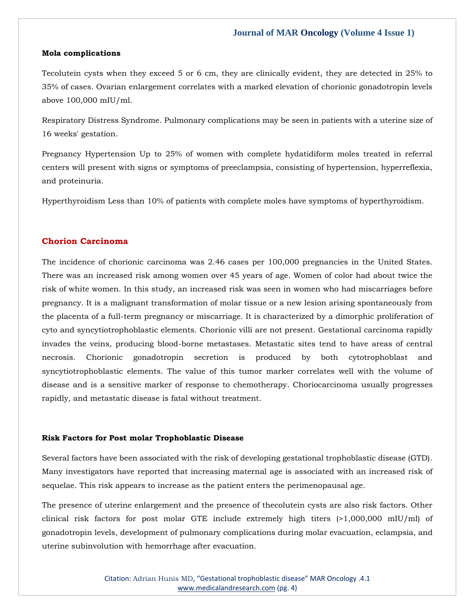#### **Mola complications**

Tecolutein cysts when they exceed 5 or 6 cm, they are clinically evident, they are detected in 25% to 35% of cases. Ovarian enlargement correlates with a marked elevation of chorionic gonadotropin levels above 100,000 mIU/ml.

Respiratory Distress Syndrome. Pulmonary complications may be seen in patients with a uterine size of 16 weeks' gestation.

Pregnancy Hypertension Up to 25% of women with complete hydatidiform moles treated in referral centers will present with signs or symptoms of preeclampsia, consisting of hypertension, hyperreflexia, and proteinuria.

Hyperthyroidism Less than 10% of patients with complete moles have symptoms of hyperthyroidism.

# **Chorion Carcinoma**

The incidence of chorionic carcinoma was 2.46 cases per 100,000 pregnancies in the United States. There was an increased risk among women over 45 years of age. Women of color had about twice the risk of white women. In this study, an increased risk was seen in women who had miscarriages before pregnancy. It is a malignant transformation of molar tissue or a new lesion arising spontaneously from the placenta of a full-term pregnancy or miscarriage. It is characterized by a dimorphic proliferation of cyto and syncytiotrophoblastic elements. Chorionic villi are not present. Gestational carcinoma rapidly invades the veins, producing blood-borne metastases. Metastatic sites tend to have areas of central necrosis. Chorionic gonadotropin secretion is produced by both cytotrophoblast and syncytiotrophoblastic elements. The value of this tumor marker correlates well with the volume of disease and is a sensitive marker of response to chemotherapy. Choriocarcinoma usually progresses rapidly, and metastatic disease is fatal without treatment.

#### **Risk Factors for Post molar Trophoblastic Disease**

Several factors have been associated with the risk of developing gestational trophoblastic disease (GTD). Many investigators have reported that increasing maternal age is associated with an increased risk of sequelae. This risk appears to increase as the patient enters the perimenopausal age.

The presence of uterine enlargement and the presence of thecolutein cysts are also risk factors. Other clinical risk factors for post molar GTE include extremely high titers (>1,000,000 mIU/ml) of gonadotropin levels, development of pulmonary complications during molar evacuation, eclampsia, and uterine subinvolution with hemorrhage after evacuation.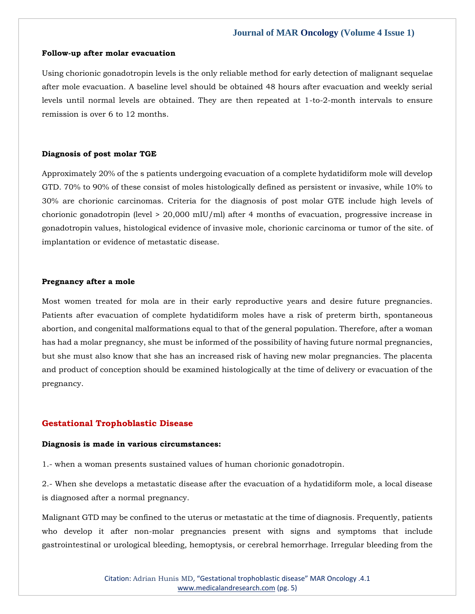#### **Follow-up after molar evacuation**

Using chorionic gonadotropin levels is the only reliable method for early detection of malignant sequelae after mole evacuation. A baseline level should be obtained 48 hours after evacuation and weekly serial levels until normal levels are obtained. They are then repeated at 1-to-2-month intervals to ensure remission is over 6 to 12 months.

## **Diagnosis of post molar TGE**

Approximately 20% of the s patients undergoing evacuation of a complete hydatidiform mole will develop GTD. 70% to 90% of these consist of moles histologically defined as persistent or invasive, while 10% to 30% are chorionic carcinomas. Criteria for the diagnosis of post molar GTE include high levels of chorionic gonadotropin (level > 20,000 mIU/ml) after 4 months of evacuation, progressive increase in gonadotropin values, histological evidence of invasive mole, chorionic carcinoma or tumor of the site. of implantation or evidence of metastatic disease.

# **Pregnancy after a mole**

Most women treated for mola are in their early reproductive years and desire future pregnancies. Patients after evacuation of complete hydatidiform moles have a risk of preterm birth, spontaneous abortion, and congenital malformations equal to that of the general population. Therefore, after a woman has had a molar pregnancy, she must be informed of the possibility of having future normal pregnancies, but she must also know that she has an increased risk of having new molar pregnancies. The placenta and product of conception should be examined histologically at the time of delivery or evacuation of the pregnancy.

#### **Gestational Trophoblastic Disease**

#### **Diagnosis is made in various circumstances:**

1.- when a woman presents sustained values of human chorionic gonadotropin.

2.- When she develops a metastatic disease after the evacuation of a hydatidiform mole, a local disease is diagnosed after a normal pregnancy.

Malignant GTD may be confined to the uterus or metastatic at the time of diagnosis. Frequently, patients who develop it after non-molar pregnancies present with signs and symptoms that include gastrointestinal or urological bleeding, hemoptysis, or cerebral hemorrhage. Irregular bleeding from the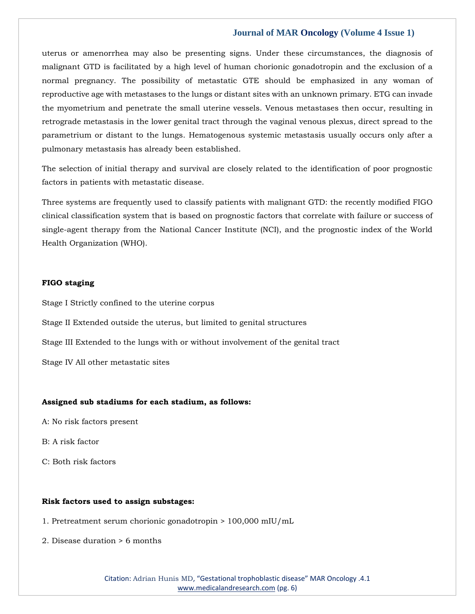uterus or amenorrhea may also be presenting signs. Under these circumstances, the diagnosis of malignant GTD is facilitated by a high level of human chorionic gonadotropin and the exclusion of a normal pregnancy. The possibility of metastatic GTE should be emphasized in any woman of reproductive age with metastases to the lungs or distant sites with an unknown primary. ETG can invade the myometrium and penetrate the small uterine vessels. Venous metastases then occur, resulting in retrograde metastasis in the lower genital tract through the vaginal venous plexus, direct spread to the parametrium or distant to the lungs. Hematogenous systemic metastasis usually occurs only after a pulmonary metastasis has already been established.

The selection of initial therapy and survival are closely related to the identification of poor prognostic factors in patients with metastatic disease.

Three systems are frequently used to classify patients with malignant GTD: the recently modified FIGO clinical classification system that is based on prognostic factors that correlate with failure or success of single-agent therapy from the National Cancer Institute (NCI), and the prognostic index of the World Health Organization (WHO).

# **FIGO staging**

Stage I Strictly confined to the uterine corpus

Stage II Extended outside the uterus, but limited to genital structures

Stage III Extended to the lungs with or without involvement of the genital tract

Stage IV All other metastatic sites

#### **Assigned sub stadiums for each stadium, as follows:**

- A: No risk factors present
- B: A risk factor
- C: Both risk factors

#### **Risk factors used to assign substages:**

- 1. Pretreatment serum chorionic gonadotropin > 100,000 mIU/mL
- 2. Disease duration > 6 months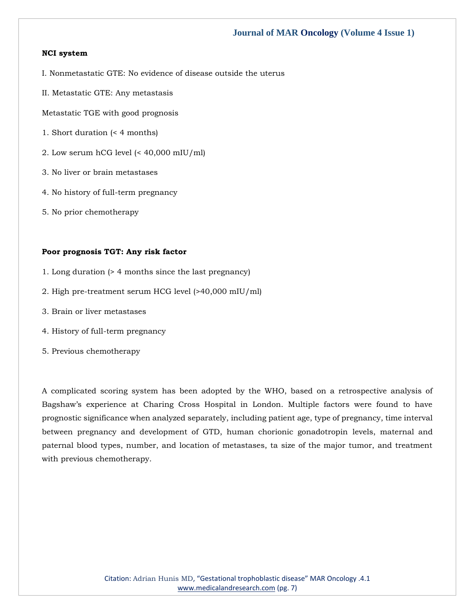# **NCI system**

- I. Nonmetastatic GTE: No evidence of disease outside the uterus
- II. Metastatic GTE: Any metastasis
- Metastatic TGE with good prognosis
- 1. Short duration (< 4 months)
- 2. Low serum hCG level (< 40,000 mIU/ml)
- 3. No liver or brain metastases
- 4. No history of full-term pregnancy
- 5. No prior chemotherapy

# **Poor prognosis TGT: Any risk factor**

- 1. Long duration (> 4 months since the last pregnancy)
- 2. High pre-treatment serum HCG level (>40,000 mIU/ml)
- 3. Brain or liver metastases
- 4. History of full-term pregnancy
- 5. Previous chemotherapy

A complicated scoring system has been adopted by the WHO, based on a retrospective analysis of Bagshaw's experience at Charing Cross Hospital in London. Multiple factors were found to have prognostic significance when analyzed separately, including patient age, type of pregnancy, time interval between pregnancy and development of GTD, human chorionic gonadotropin levels, maternal and paternal blood types, number, and location of metastases, ta size of the major tumor, and treatment with previous chemotherapy.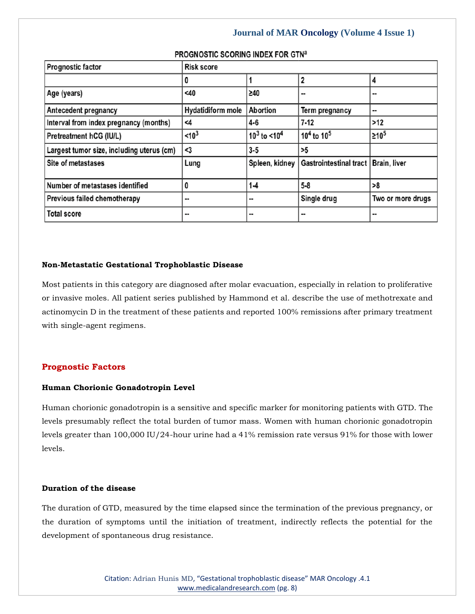| <b>Prognostic factor</b>                  | <b>Risk score</b>        |                            |                        |                     |
|-------------------------------------------|--------------------------|----------------------------|------------------------|---------------------|
|                                           | o                        |                            |                        | 4                   |
| Age (years)                               | <40                      | $\geq 40$                  |                        |                     |
| Antecedent pregnancy                      | <b>Hydatidiform mole</b> | <b>Abortion</b>            | Term pregnancy         |                     |
| Interval from index pregnancy (months)    | <4                       | 4-6                        | $7-12$                 | $>12$               |
| Pretreatment hCG (IU/L)                   | < 10 <sup>3</sup>        | $10^3$ to <10 <sup>4</sup> | $10^4$ to $10^5$       | ≥10 <sup>5</sup>    |
| Largest tumor size, including uterus (cm) | <3                       | $3 - 5$                    | >5                     |                     |
| Site of metastases                        | Lung                     | Spleen, kidney             | Gastrointestinal tract | <b>Brain, liver</b> |
| Number of metastases identified           | 0                        | $1 - 4$                    | $5 - 8$                | >8                  |
| Previous failed chemotherapy              |                          |                            | Single drug            | Two or more drugs   |
| <b>Total score</b>                        |                          | --                         |                        |                     |

# PROGNOSTIC SCORING INDEX FOR GTNa

# **Non-Metastatic Gestational Trophoblastic Disease**

Most patients in this category are diagnosed after molar evacuation, especially in relation to proliferative or invasive moles. All patient series published by Hammond et al. describe the use of methotrexate and actinomycin D in the treatment of these patients and reported 100% remissions after primary treatment with single-agent regimens.

# **Prognostic Factors**

# **Human Chorionic Gonadotropin Level**

Human chorionic gonadotropin is a sensitive and specific marker for monitoring patients with GTD. The levels presumably reflect the total burden of tumor mass. Women with human chorionic gonadotropin levels greater than 100,000 IU/24-hour urine had a 41% remission rate versus 91% for those with lower levels.

# **Duration of the disease**

The duration of GTD, measured by the time elapsed since the termination of the previous pregnancy, or the duration of symptoms until the initiation of treatment, indirectly reflects the potential for the development of spontaneous drug resistance.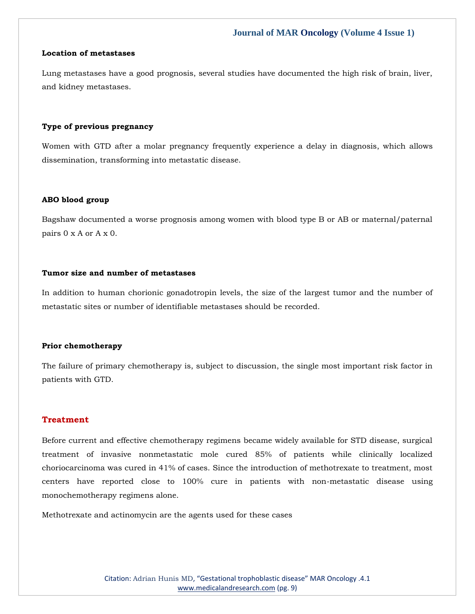## **Location of metastases**

Lung metastases have a good prognosis, several studies have documented the high risk of brain, liver, and kidney metastases.

#### **Type of previous pregnancy**

Women with GTD after a molar pregnancy frequently experience a delay in diagnosis, which allows dissemination, transforming into metastatic disease.

#### **ABO blood group**

Bagshaw documented a worse prognosis among women with blood type B or AB or maternal/paternal pairs 0 x A or A x 0.

# **Tumor size and number of metastases**

In addition to human chorionic gonadotropin levels, the size of the largest tumor and the number of metastatic sites or number of identifiable metastases should be recorded.

#### **Prior chemotherapy**

The failure of primary chemotherapy is, subject to discussion, the single most important risk factor in patients with GTD.

## **Treatment**

Before current and effective chemotherapy regimens became widely available for STD disease, surgical treatment of invasive nonmetastatic mole cured 85% of patients while clinically localized choriocarcinoma was cured in 41% of cases. Since the introduction of methotrexate to treatment, most centers have reported close to 100% cure in patients with non-metastatic disease using monochemotherapy regimens alone.

Methotrexate and actinomycin are the agents used for these cases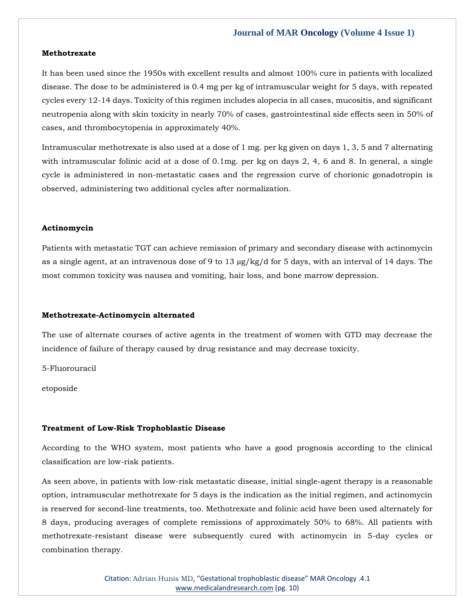#### **Methotrexate**

It has been used since the 1950s with excellent results and almost 100% cure in patients with localized disease. The dose to be administered is 0.4 mg per kg of intramuscular weight for 5 days, with repeated cycles every 12-14 days. Toxicity of this regimen includes alopecia in all cases, mucositis, and significant neutropenia along with skin toxicity in nearly 70% of cases, gastrointestinal side effects seen in 50% of cases, and thrombocytopenia in approximately 40%.

Intramuscular methotrexate is also used at a dose of 1 mg. per kg given on days 1, 3, 5 and 7 alternating with intramuscular folinic acid at a dose of 0.1mg. per kg on days 2, 4, 6 and 8. In general, a single cycle is administered in non-metastatic cases and the regression curve of chorionic gonadotropin is observed, administering two additional cycles after normalization.

#### **Actinomycin**

Patients with metastatic TGT can achieve remission of primary and secondary disease with actinomycin as a single agent, at an intravenous dose of 9 to 13  $\mu$ g/kg/d for 5 days, with an interval of 14 days. The most common toxicity was nausea and vomiting, hair loss, and bone marrow depression.

#### **Methotrexate-Actinomycin alternated**

The use of alternate courses of active agents in the treatment of women with GTD may decrease the incidence of failure of therapy caused by drug resistance and may decrease toxicity.

5-Fluorouracil

etoposide

#### **Treatment of Low-Risk Trophoblastic Disease**

According to the WHO system, most patients who have a good prognosis according to the clinical classification are low-risk patients.

As seen above, in patients with low-risk metastatic disease, initial single-agent therapy is a reasonable option, intramuscular methotrexate for 5 days is the indication as the initial regimen, and actinomycin is reserved for second-line treatments, too. Methotrexate and folinic acid have been used alternately for 8 days, producing averages of complete remissions of approximately 50% to 68%. All patients with methotrexate-resistant disease were subsequently cured with actinomycin in 5-day cycles or combination therapy.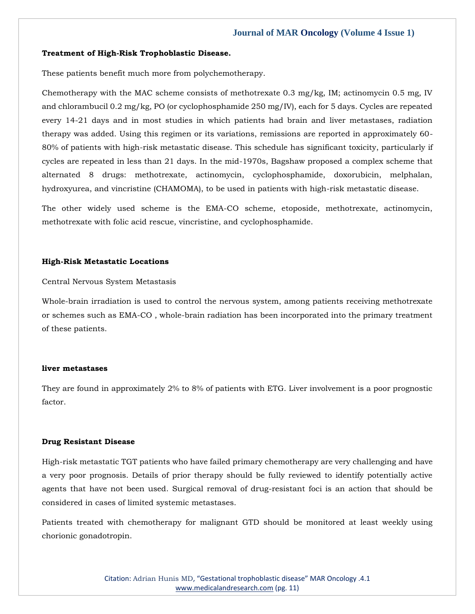#### **Treatment of High-Risk Trophoblastic Disease.**

These patients benefit much more from polychemotherapy.

Chemotherapy with the MAC scheme consists of methotrexate 0.3 mg/kg, IM; actinomycin 0.5 mg, IV and chlorambucil 0.2 mg/kg, PO (or cyclophosphamide 250 mg/IV), each for 5 days. Cycles are repeated every 14-21 days and in most studies in which patients had brain and liver metastases, radiation therapy was added. Using this regimen or its variations, remissions are reported in approximately 60- 80% of patients with high-risk metastatic disease. This schedule has significant toxicity, particularly if cycles are repeated in less than 21 days. In the mid-1970s, Bagshaw proposed a complex scheme that alternated 8 drugs: methotrexate, actinomycin, cyclophosphamide, doxorubicin, melphalan, hydroxyurea, and vincristine (CHAMOMA), to be used in patients with high-risk metastatic disease.

The other widely used scheme is the EMA-CO scheme, etoposide, methotrexate, actinomycin, methotrexate with folic acid rescue, vincristine, and cyclophosphamide.

#### **High-Risk Metastatic Locations**

Central Nervous System Metastasis

Whole-brain irradiation is used to control the nervous system, among patients receiving methotrexate or schemes such as EMA-CO , whole-brain radiation has been incorporated into the primary treatment of these patients.

#### **liver metastases**

They are found in approximately 2% to 8% of patients with ETG. Liver involvement is a poor prognostic factor.

#### **Drug Resistant Disease**

High-risk metastatic TGT patients who have failed primary chemotherapy are very challenging and have a very poor prognosis. Details of prior therapy should be fully reviewed to identify potentially active agents that have not been used. Surgical removal of drug-resistant foci is an action that should be considered in cases of limited systemic metastases.

Patients treated with chemotherapy for malignant GTD should be monitored at least weekly using chorionic gonadotropin.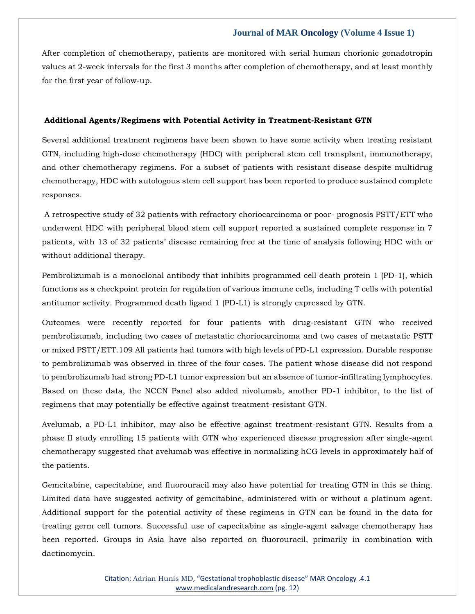After completion of chemotherapy, patients are monitored with serial human chorionic gonadotropin values at 2-week intervals for the first 3 months after completion of chemotherapy, and at least monthly for the first year of follow-up.

# **Additional Agents/Regimens with Potential Activity in Treatment-Resistant GTN**

Several additional treatment regimens have been shown to have some activity when treating resistant GTN, including high-dose chemotherapy (HDC) with peripheral stem cell transplant, immunotherapy, and other chemotherapy regimens. For a subset of patients with resistant disease despite multidrug chemotherapy, HDC with autologous stem cell support has been reported to produce sustained complete responses.

A retrospective study of 32 patients with refractory choriocarcinoma or poor- prognosis PSTT/ETT who underwent HDC with peripheral blood stem cell support reported a sustained complete response in 7 patients, with 13 of 32 patients' disease remaining free at the time of analysis following HDC with or without additional therapy.

Pembrolizumab is a monoclonal antibody that inhibits programmed cell death protein 1 (PD-1), which functions as a checkpoint protein for regulation of various immune cells, including T cells with potential antitumor activity. Programmed death ligand 1 (PD-L1) is strongly expressed by GTN.

Outcomes were recently reported for four patients with drug-resistant GTN who received pembrolizumab, including two cases of metastatic choriocarcinoma and two cases of metastatic PSTT or mixed PSTT/ETT.109 All patients had tumors with high levels of PD-L1 expression. Durable response to pembrolizumab was observed in three of the four cases. The patient whose disease did not respond to pembrolizumab had strong PD-L1 tumor expression but an absence of tumor-infiltrating lymphocytes. Based on these data, the NCCN Panel also added nivolumab, another PD-1 inhibitor, to the list of regimens that may potentially be effective against treatment-resistant GTN.

Avelumab, a PD-L1 inhibitor, may also be effective against treatment-resistant GTN. Results from a phase II study enrolling 15 patients with GTN who experienced disease progression after single-agent chemotherapy suggested that avelumab was effective in normalizing hCG levels in approximately half of the patients.

Gemcitabine, capecitabine, and fluorouracil may also have potential for treating GTN in this se thing. Limited data have suggested activity of gemcitabine, administered with or without a platinum agent. Additional support for the potential activity of these regimens in GTN can be found in the data for treating germ cell tumors. Successful use of capecitabine as single-agent salvage chemotherapy has been reported. Groups in Asia have also reported on fluorouracil, primarily in combination with dactinomycin.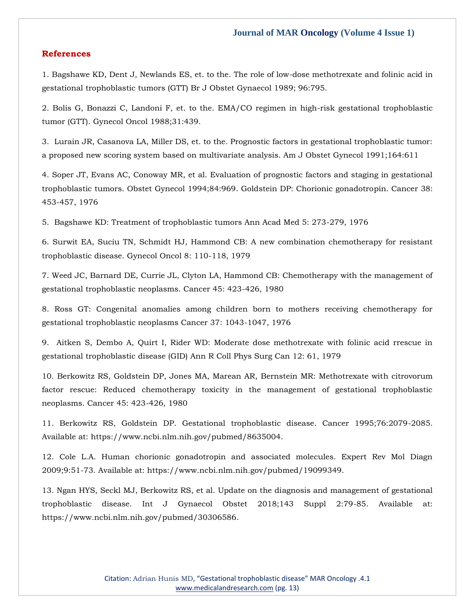## **References**

1. Bagshawe KD, Dent J, Newlands ES, et. to the. The role of low-dose methotrexate and folinic acid in gestational trophoblastic tumors (GTT) Br J Obstet Gynaecol 1989; 96:795.

2. Bolis G, Bonazzi C, Landoni F, et. to the. EMA/CO regimen in high-risk gestational trophoblastic tumor (GTT). Gynecol Oncol 1988;31:439.

3. Lurain JR, Casanova LA, Miller DS, et. to the. Prognostic factors in gestational trophoblastic tumor: a proposed new scoring system based on multivariate analysis. Am J Obstet Gynecol 1991;164:611

4. Soper JT, Evans AC, Conoway MR, et al. Evaluation of prognostic factors and staging in gestational trophoblastic tumors. Obstet Gynecol 1994;84:969. Goldstein DP: Chorionic gonadotropin. Cancer 38: 453-457, 1976

5. Bagshawe KD: Treatment of trophoblastic tumors Ann Acad Med 5: 273-279, 1976

6. Surwit EA, Suciu TN, Schmidt HJ, Hammond CB: A new combination chemotherapy for resistant trophoblastic disease. Gynecol Oncol 8: 110-118, 1979

7. Weed JC, Barnard DE, Currie JL, Clyton LA, Hammond CB: Chemotherapy with the management of gestational trophoblastic neoplasms. Cancer 45: 423-426, 1980

8. Ross GT: Congenital anomalies among children born to mothers receiving chemotherapy for gestational trophoblastic neoplasms Cancer 37: 1043-1047, 1976

9. Aitken S, Dembo A, Quirt I, Rider WD: Moderate dose methotrexate with folinic acid rrescue in gestational trophoblastic disease (GID) Ann R Coll Phys Surg Can 12: 61, 1979

10. Berkowitz RS, Goldstein DP, Jones MA, Marean AR, Bernstein MR: Methotrexate with citrovorum factor rescue: Reduced chemotherapy toxicity in the management of gestational trophoblastic neoplasms. Cancer 45: 423-426, 1980

11. Berkowitz RS, Goldstein DP. Gestational trophoblastic disease. Cancer 1995;76:2079-2085. Available at: https://www.ncbi.nlm.nih.gov/pubmed/8635004.

12. Cole L.A. Human chorionic gonadotropin and associated molecules. Expert Rev Mol Diagn 2009;9:51-73. Available at: https://www.ncbi.nlm.nih.gov/pubmed/19099349.

13. Ngan HYS, Seckl MJ, Berkowitz RS, et al. Update on the diagnosis and management of gestational trophoblastic disease. Int J Gynaecol Obstet 2018;143 Suppl 2:79-85. Available at: https://www.ncbi.nlm.nih.gov/pubmed/30306586.